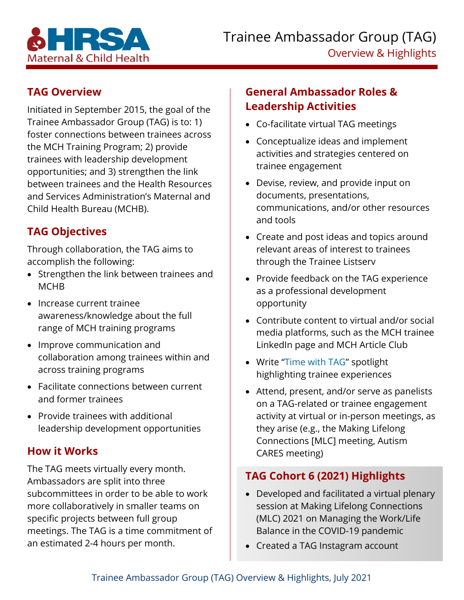

#### **TAG Overview**

Initiated in September 2015, the goal of the Trainee Ambassador Group (TAG) is to: 1) foster connections between trainees across the MCH Training Program; 2) provide trainees with leadership development opportunities; and 3) strengthen the link between trainees and the Health Resources and Services Administration's Maternal and Child Health Bureau (MCHB).

### **TAG Objectives**

Through collaboration, the TAG aims to accomplish the following:

- Strengthen the link between trainees and **MCHB**
- Increase current trainee awareness/knowledge about the full range of MCH training programs
- Improve communication and collaboration among trainees within and across training programs
- Facilitate connections between current and former trainees
- Provide trainees with additional leadership development opportunities

# **How it Works**

The TAG meets virtually every month. Ambassadors are split into three subcommittees in order to be able to work more collaboratively in smaller teams on specific projects between full group meetings. The TAG is a time commitment of an estimated 2-4 hours per month.

# **General Ambassador Roles & Leadership Activities**

- Co-facilitate virtual TAG meetings
- Conceptualize ideas and implement activities and strategies centered on trainee engagement
- Devise, review, and provide input on documents, presentations, communications, and/or other resources and tools
- Create and post ideas and topics around relevant areas of interest to trainees through the Trainee Listserv
- Provide feedback on the TAG experience as a professional development opportunity
- Contribute content to virtual and/or social media platforms, such as the MCH trainee LinkedIn page and MCH Article Club
- Write ["Time with TAG"](https://mchb.hrsa.gov/training/tr_spotlights.asp) spotlight highlighting trainee experiences
- Attend, present, and/or serve as panelists on a TAG-related or trainee engagement activity at virtual or in-person meetings, as they arise (e.g., the Making Lifelong Connections [MLC] meeting, Autism CARES meeting)

# **TAG Cohort 6 (2021) Highlights**

- Developed and facilitated a virtual plenary session at Making Lifelong Connections (MLC) 2021 on Managing the Work/Life Balance in the COVID-19 pandemic
- Created a TAG Instagram account